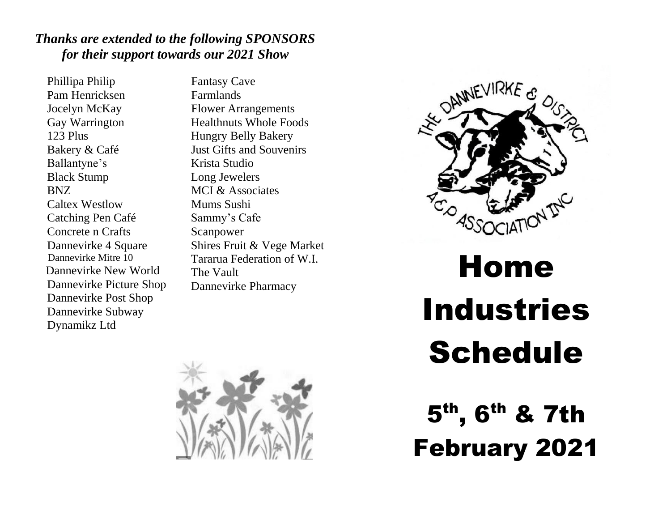# *Thanks are extended to the following SPONSORS for their support towards our 2021 Show*

Phillipa Philip Pam Henricksen Jocelyn McKay Gay Warrington 123 Plus Bakery & Café Ballantyne's Black Stump BNZ Caltex Westlow Catching Pen Café Concrete n Crafts Dannevirke 4 Square Dannevirke Mitre 10 Dannevirke New World Dannevirke Picture Shop Dannevirke Post Shop Dannevirke Subway Dynamikz Ltd

Fantasy Cave Farmlands Flower Arrangements Healthnuts Whole Foods Hungry Belly Bakery Just Gifts and Souvenirs Krista Studio Long Jewelers MCI & Associates Mums Sushi Sammy's Cafe Scanpower Shires Fruit & Vege Market Tararua Federation of W.I. The Vault Dannevirke Pharmacy





# Home Industries Schedule

5 th, 6th & 7th February 2021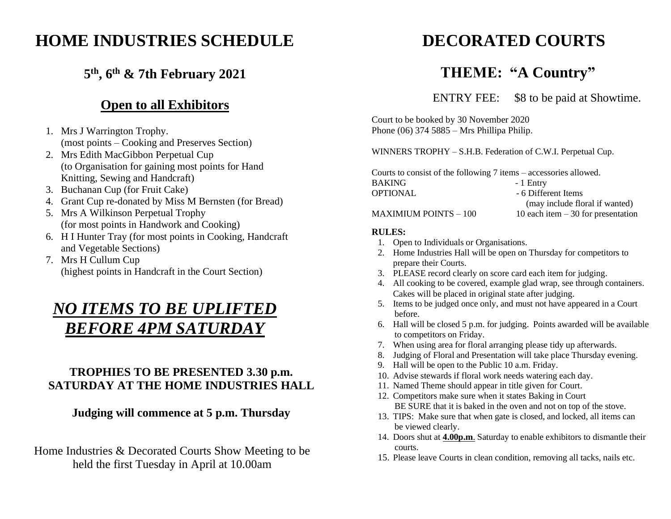# **HOME INDUSTRIES SCHEDULE**

# **5 th, 6th & 7th February 2021**

# **Open to all Exhibitors**

- 1. Mrs J Warrington Trophy. (most points – Cooking and Preserves Section)
- 2. Mrs Edith MacGibbon Perpetual Cup (to Organisation for gaining most points for Hand Knitting, Sewing and Handcraft)
- 3. Buchanan Cup (for Fruit Cake)
- 4. Grant Cup re-donated by Miss M Bernsten (for Bread)
- 5. Mrs A Wilkinson Perpetual Trophy (for most points in Handwork and Cooking)
- 6. H I Hunter Tray (for most points in Cooking, Handcraft and Vegetable Sections)
- 7. Mrs H Cullum Cup (highest points in Handcraft in the Court Section)

# *NO ITEMS TO BE UPLIFTED BEFORE 4PM SATURDAY*

## **TROPHIES TO BE PRESENTED 3.30 p.m. SATURDAY AT THE HOME INDUSTRIES HALL**

#### **Judging will commence at 5 p.m. Thursday**

Home Industries & Decorated Courts Show Meeting to be held the first Tuesday in April at 10.00am

# **DECORATED COURTS**

# **THEME: "A Country"**

ENTRY FEE: \$8 to be paid at Showtime.

Court to be booked by 30 November 2020 Phone (06) 374 5885 – Mrs Phillipa Philip.

WINNERS TROPHY – S.H.B. Federation of C.W.I. Perpetual Cup.

Courts to consist of the following 7 items – accessories allowed. BAKING - 1 Entry OPTIONAL - 6 Different Items (may include floral if wanted)

#### MAXIMIUM POINTS  $-100$  10 each item  $-30$  for presentation

#### **RULES:**

- 1. Open to Individuals or Organisations.
- 2. Home Industries Hall will be open on Thursday for competitors to prepare their Courts.
- 3. PLEASE record clearly on score card each item for judging.
- 4. All cooking to be covered, example glad wrap, see through containers. Cakes will be placed in original state after judging.
- 5. Items to be judged once only, and must not have appeared in a Court before.
- 6. Hall will be closed 5 p.m. for judging. Points awarded will be available to competitors on Friday.
- 7. When using area for floral arranging please tidy up afterwards.
- 8. Judging of Floral and Presentation will take place Thursday evening.
- 9. Hall will be open to the Public 10 a.m. Friday.
- 10. Advise stewards if floral work needs watering each day.
- 11. Named Theme should appear in title given for Court.
- 12. Competitors make sure when it states Baking in Court BE SURE that it is baked in the oven and not on top of the stove.
- 13. TIPS: Make sure that when gate is closed, and locked, all items can be viewed clearly.
- 14. Doors shut at **4.00p.m**. Saturday to enable exhibitors to dismantle their courts.
- 15. Please leave Courts in clean condition, removing all tacks, nails etc.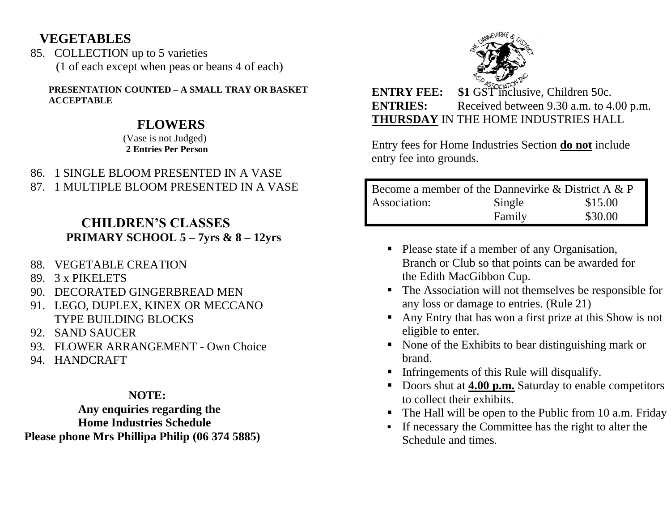# **VEGETABLES**

85. COLLECTION up to 5 varieties (1 of each except when peas or beans 4 of each)

**PRESENTATION COUNTED – A SMALL TRAY OR BASKET ACCEPTABLE**

# **FLOWERS**

(Vase is not Judged)  **2 Entries Per Person**

- 86. 1 SINGLE BLOOM PRESENTED IN A VASE
- 87. 1 MULTIPLE BLOOM PRESENTED IN A VASE

# **CHILDREN'S CLASSES PRIMARY SCHOOL 5 – 7yrs & 8 – 12yrs**

- 88. VEGETABLE CREATION
- 89. 3 x PIKELETS
- 90. DECORATED GINGERBREAD MEN
- 91. LEGO, DUPLEX, KINEX OR MECCANO TYPE BUILDING BLOCKS
- 92. SAND SAUCER
- 93. FLOWER ARRANGEMENT Own Choice
- 94. HANDCRAFT

#### **NOTE:**

 **Any enquiries regarding the Home Industries Schedule Please phone Mrs Phillipa Philip (06 374 5885)**



**ENTRY FEE:** \$1 GST inclusive, Children 50c. **ENTRIES:** Received between 9.30 a.m. to 4.00 p.m. **THURSDAY** IN THE HOME INDUSTRIES HALL

Entry fees for Home Industries Section **do not** include entry fee into grounds.

| Become a member of the Dannevirke & District A & P |        |         |  |  |
|----------------------------------------------------|--------|---------|--|--|
| Association:                                       | Single | \$15.00 |  |  |
|                                                    | Family | \$30.00 |  |  |

- Please state if a member of any Organisation, Branch or Club so that points can be awarded for the Edith MacGibbon Cup.
- The Association will not themselves be responsible for any loss or damage to entries. (Rule 21)
- Any Entry that has won a first prize at this Show is not eligible to enter.
- None of the Exhibits to bear distinguishing mark or brand.
- **•** Infringements of this Rule will disqualify.
- Doors shut at 4.00 p.m. Saturday to enable competitors to collect their exhibits.
- The Hall will be open to the Public from 10 a.m. Friday
- If necessary the Committee has the right to alter the Schedule and times.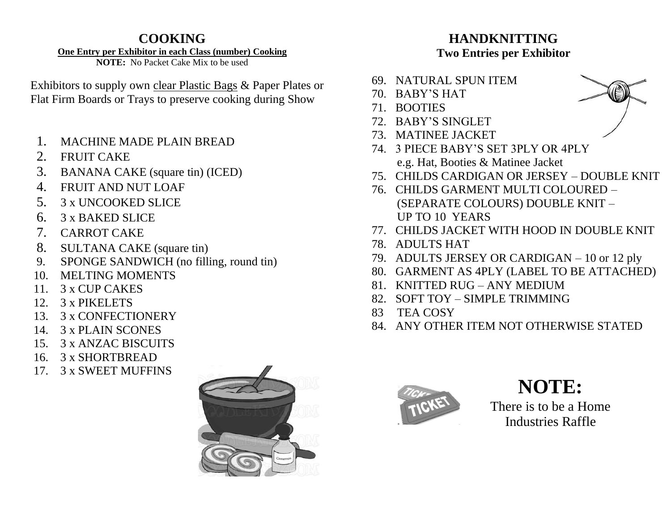# **COOKING**

#### **One Entry per Exhibitor in each Class (number) Cooking**

**NOTE:** No Packet Cake Mix to be used

Exhibitors to supply own clear Plastic Bags & Paper Plates or Flat Firm Boards or Trays to preserve cooking during Show

- 1. MACHINE MADE PLAIN BREAD
- 2. FRUIT CAKE
- 3. BANANA CAKE (square tin) (ICED)
- 4. FRUIT AND NUT LOAF
- 5. 3 x UNCOOKED SLICE
- 6. 3 x BAKED SLICE
- 7. CARROT CAKE
- 8. SULTANA CAKE (square tin)
- 9. SPONGE SANDWICH (no filling, round tin)
- 10. MELTING MOMENTS
- 11. 3 x CUP CAKES
- 12. 3 x PIKELETS
- 13. 3 x CONFECTIONERY
- 14. 3 x PLAIN SCONES
- 15. 3 x ANZAC BISCUITS
- 16. 3 x SHORTBREAD
- 17. 3 x SWEET MUFFINS



# **HANDKNITTING Two Entries per Exhibitor**

- 69. NATURAL SPUN ITEM
- 70. BABY'S HAT
- 71. BOOTIES
- 72. BABY'S SINGLET
- 73. MATINEE JACKET
- 74. 3 PIECE BABY'S SET 3PLY OR 4PLY e.g. Hat, Booties & Matinee Jacket
- 75. CHILDS CARDIGAN OR JERSEY DOUBLE KNIT
- 76. CHILDS GARMENT MULTI COLOURED (SEPARATE COLOURS) DOUBLE KNIT – UP TO 10 YEARS
- 77. CHILDS JACKET WITH HOOD IN DOUBLE KNIT
- 78. ADULTS HAT
- 79. ADULTS JERSEY OR CARDIGAN 10 or 12 ply
- 80. GARMENT AS 4PLY (LABEL TO BE ATTACHED)
- 81. KNITTED RUG ANY MEDIUM
- 82. SOFT TOY SIMPLE TRIMMING
- 83 TEA COSY
- 84. ANY OTHER ITEM NOT OTHERWISE STATED



# **NOTE:**

There is to be a Home Industries Raffle

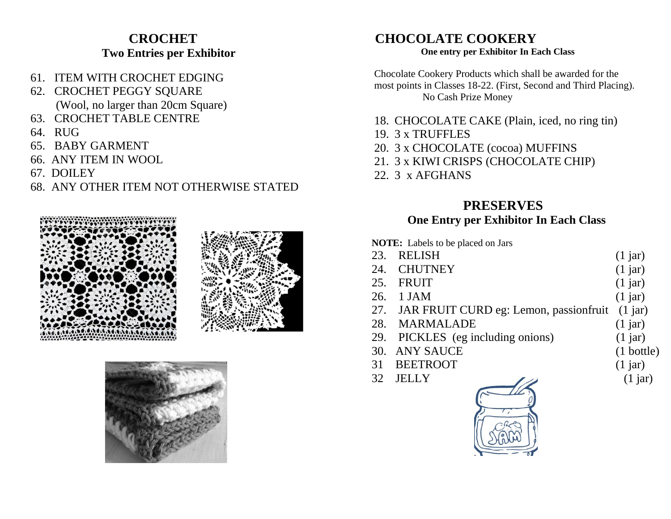# **CROCHET Two Entries per Exhibitor**

- 61. ITEM WITH CROCHET EDGING
- 62. CROCHET PEGGY SQUARE (Wool, no larger than 20cm Square)
- 63. CROCHET TABLE CENTRE
- 64. RUG
- 65. BABY GARMENT
- 66. ANY ITEM IN WOOL
- 67. DOILEY

## 68. ANY OTHER ITEM NOT OTHERWISE STATED







#### **CHOCOLATE COOKERY One entry per Exhibitor In Each Class**

Chocolate Cookery Products which shall be awarded for the most points in Classes 18-22. (First, Second and Third Placing). No Cash Prize Money

- 18. CHOCOLATE CAKE (Plain, iced, no ring tin)
- 19. 3 x TRUFFLES
- 20. 3 x CHOCOLATE (cocoa) MUFFINS
- 21. 3 x KIWI CRISPS (CHOCOLATE CHIP)
- 22. 3 x AFGHANS

# **PRESERVES**

### **One Entry per Exhibitor In Each Class**

**NOTE:** Labels to be placed on Jars

| 23. RELISH                                         | $(1$ jar)            |
|----------------------------------------------------|----------------------|
| 24. CHUTNEY                                        | $(1$ jar)            |
| 25. FRUIT                                          | $(1$ jar)            |
| 26. 1 JAM                                          | $(1$ jar)            |
| 27. JAR FRUIT CURD eg: Lemon, passionfruit (1 jar) |                      |
| 28. MARMALADE                                      | $(1$ jar)            |
| 29. PICKLES (eg including onions)                  | $(1$ jar)            |
| 30. ANY SAUCE                                      | $(1 \text{ bottle})$ |

- 31 BEETROOT (1 jar)
- 
- 



- 
- 
-